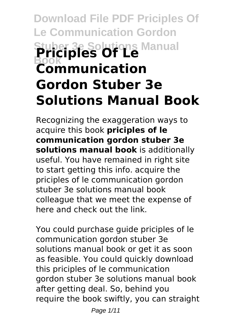# **Download File PDF Priciples Of Le Communication Gordon Stuber 3e Solutions Manual Book Priciples Of Le Communication Gordon Stuber 3e Solutions Manual Book**

Recognizing the exaggeration ways to acquire this book **priciples of le communication gordon stuber 3e solutions manual book** is additionally useful. You have remained in right site to start getting this info. acquire the priciples of le communication gordon stuber 3e solutions manual book colleague that we meet the expense of here and check out the link.

You could purchase guide priciples of le communication gordon stuber 3e solutions manual book or get it as soon as feasible. You could quickly download this priciples of le communication gordon stuber 3e solutions manual book after getting deal. So, behind you require the book swiftly, you can straight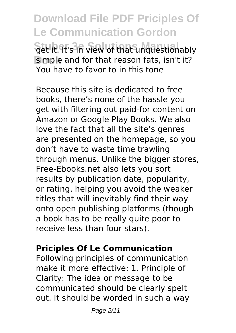**Download File PDF Priciples Of Le Communication Gordon Set it. It's in view of that unquestionably Book** simple and for that reason fats, isn't it? You have to favor to in this tone

Because this site is dedicated to free books, there's none of the hassle you get with filtering out paid-for content on Amazon or Google Play Books. We also love the fact that all the site's genres are presented on the homepage, so you don't have to waste time trawling through menus. Unlike the bigger stores, Free-Ebooks.net also lets you sort results by publication date, popularity, or rating, helping you avoid the weaker titles that will inevitably find their way onto open publishing platforms (though a book has to be really quite poor to receive less than four stars).

## **Priciples Of Le Communication**

Following principles of communication make it more effective: 1. Principle of Clarity: The idea or message to be communicated should be clearly spelt out. It should be worded in such a way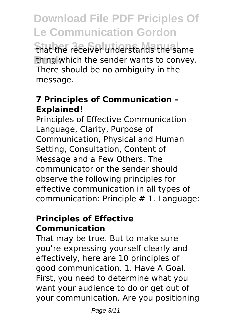**Download File PDF Priciples Of Le Communication Gordon** that the receiver understands the same **Book** thing which the sender wants to convey. There should be no ambiguity in the message.

## **7 Principles of Communication – Explained!**

Principles of Effective Communication – Language, Clarity, Purpose of Communication, Physical and Human Setting, Consultation, Content of Message and a Few Others. The communicator or the sender should observe the following principles for effective communication in all types of communication: Principle # 1. Language:

## **Principles of Effective Communication**

That may be true. But to make sure you're expressing yourself clearly and effectively, here are 10 principles of good communication. 1. Have A Goal. First, you need to determine what you want your audience to do or get out of your communication. Are you positioning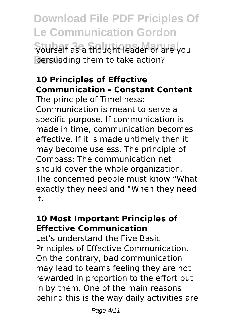**Download File PDF Priciples Of Le Communication Gordon Stuber 3e Solutions Manual** yourself as a thought leader or are you **Book** persuading them to take action?

# **10 Principles of Effective Communication - Constant Content**

The principle of Timeliness: Communication is meant to serve a specific purpose. If communication is made in time, communication becomes effective. If it is made untimely then it may become useless. The principle of Compass: The communication net should cover the whole organization. The concerned people must know "What exactly they need and "When they need it.

# **10 Most Important Principles of Effective Communication**

Let's understand the Five Basic Principles of Effective Communication. On the contrary, bad communication may lead to teams feeling they are not rewarded in proportion to the effort put in by them. One of the main reasons behind this is the way daily activities are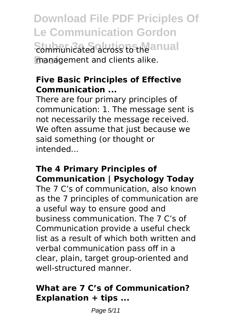**Download File PDF Priciples Of Le Communication Gordon Sommunicated across to the anual Book** management and clients alike.

## **Five Basic Principles of Effective Communication ...**

There are four primary principles of communication: 1. The message sent is not necessarily the message received. We often assume that just because we said something (or thought or intended...

## **The 4 Primary Principles of Communication | Psychology Today**

The 7 C's of communication, also known as the 7 principles of communication are a useful way to ensure good and business communication. The 7 C's of Communication provide a useful check list as a result of which both written and verbal communication pass off in a clear, plain, target group-oriented and well-structured manner.

## **What are 7 C's of Communication? Explanation + tips ...**

Page 5/11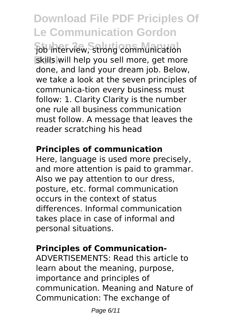**Download File PDF Priciples Of Le Communication Gordon Stuber 3e Solutions Manual** job interview, strong communication **Book** skills will help you sell more, get more done, and land your dream job. Below, we take a look at the seven principles of communica-tion every business must follow: 1. Clarity Clarity is the number one rule all business communication must follow. A message that leaves the reader scratching his head

## **Principles of communication**

Here, language is used more precisely, and more attention is paid to grammar. Also we pay attention to our dress, posture, etc. formal communication occurs in the context of status differences. Informal communication takes place in case of informal and personal situations.

# **Principles of Communication-**

ADVERTISEMENTS: Read this article to learn about the meaning, purpose, importance and principles of communication. Meaning and Nature of Communication: The exchange of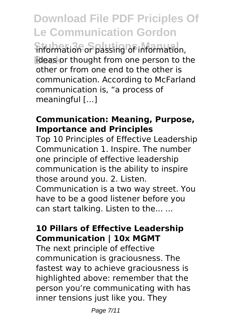**Download File PDF Priciples Of Le Communication Gordon** information or passing of information, ideas or thought from one person to the other or from one end to the other is communication. According to McFarland communication is, "a process of meaningful […]

### **Communication: Meaning, Purpose, Importance and Principles**

Top 10 Principles of Effective Leadership Communication 1. Inspire. The number one principle of effective leadership communication is the ability to inspire those around you. 2. Listen. Communication is a two way street. You have to be a good listener before you can start talking. Listen to the... ...

# **10 Pillars of Effective Leadership Communication | 10x MGMT**

The next principle of effective communication is graciousness. The fastest way to achieve graciousness is highlighted above: remember that the person you're communicating with has inner tensions just like you. They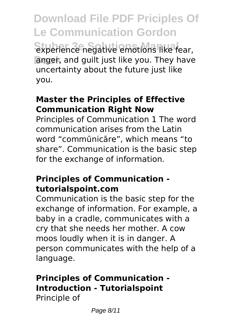**Download File PDF Priciples Of Le Communication Gordon Experience negative emotions like fear, Book** anger, and guilt just like you. They have uncertainty about the future just like you.

## **Master the Principles of Effective Communication Right Now**

Principles of Communication 1 The word communication arises from the Latin word "commūnicāre", which means "to share". Communication is the basic step for the exchange of information.

### **Principles of Communication tutorialspoint.com**

Communication is the basic step for the exchange of information. For example, a baby in a cradle, communicates with a cry that she needs her mother. A cow moos loudly when it is in danger. A person communicates with the help of a language.

### **Principles of Communication - Introduction - Tutorialspoint** Principle of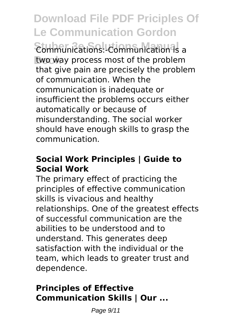**Download File PDF Priciples Of Le Communication Gordon Communications: Communication is a Book** two way process most of the problem that give pain are precisely the problem of communication. When the communication is inadequate or insufficient the problems occurs either automatically or because of misunderstanding. The social worker should have enough skills to grasp the communication.

## **Social Work Principles | Guide to Social Work**

The primary effect of practicing the principles of effective communication skills is vivacious and healthy relationships. One of the greatest effects of successful communication are the abilities to be understood and to understand. This generates deep satisfaction with the individual or the team, which leads to greater trust and dependence.

# **Principles of Effective Communication Skills | Our ...**

Page 9/11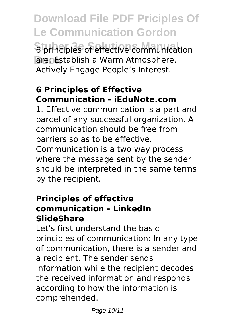**Download File PDF Priciples Of Le Communication Gordon 6 principles of effective communication Book** are; Establish a Warm Atmosphere. Actively Engage People's Interest.

# **6 Principles of Effective Communication - iEduNote.com**

1. Effective communication is a part and parcel of any successful organization. A communication should be free from barriers so as to be effective. Communication is a two way process where the message sent by the sender should be interpreted in the same terms by the recipient.

## **Principles of effective communication - LinkedIn SlideShare**

Let's first understand the basic principles of communication: In any type of communication, there is a sender and a recipient. The sender sends information while the recipient decodes the received information and responds according to how the information is comprehended.